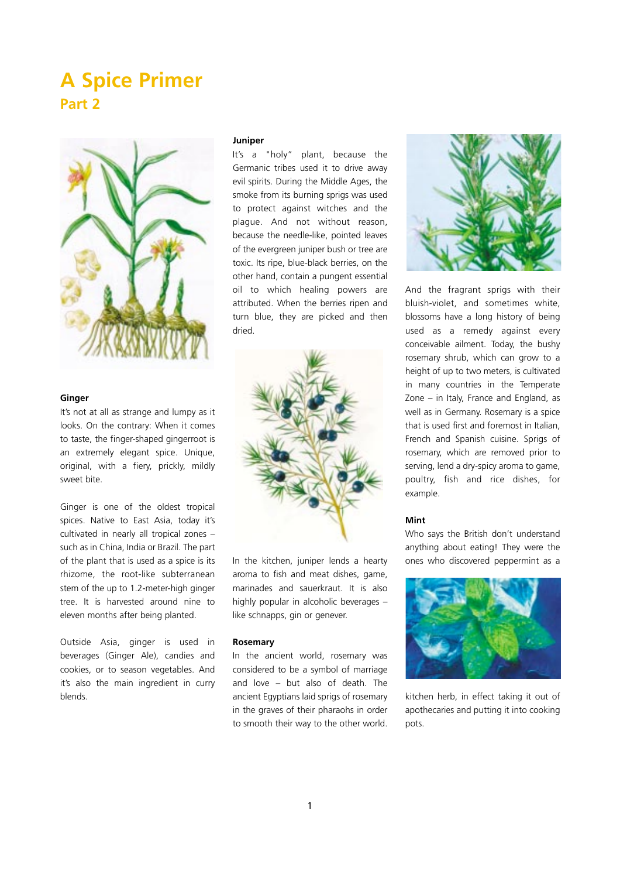# **A Spice Primer Part 2**



### **Ginger**

It's not at all as strange and lumpy as it looks. On the contrary: When it comes to taste, the finger-shaped gingerroot is an extremely elegant spice. Unique, original, with a fiery, prickly, mildly sweet bite.

Ginger is one of the oldest tropical spices. Native to East Asia, today it's cultivated in nearly all tropical zones – such as in China, India or Brazil. The part of the plant that is used as a spice is its rhizome, the root-like subterranean stem of the up to 1.2-meter-high ginger tree. It is harvested around nine to eleven months after being planted.

Outside Asia, ginger is used in beverages (Ginger Ale), candies and cookies, or to season vegetables. And it's also the main ingredient in curry blends.

#### **Juniper**

It's a "holy" plant, because the Germanic tribes used it to drive away evil spirits. During the Middle Ages, the smoke from its burning sprigs was used to protect against witches and the plague. And not without reason, because the needle-like, pointed leaves of the evergreen juniper bush or tree are toxic. Its ripe, blue-black berries, on the other hand, contain a pungent essential oil to which healing powers are attributed. When the berries ripen and turn blue, they are picked and then dried.



In the kitchen, juniper lends a hearty aroma to fish and meat dishes, game, marinades and sauerkraut. It is also highly popular in alcoholic beverages – like schnapps, gin or genever.

### **Rosemary**

In the ancient world, rosemary was considered to be a symbol of marriage and love – but also of death. The ancient Egyptians laid sprigs of rosemary in the graves of their pharaohs in order to smooth their way to the other world.



And the fragrant sprigs with their bluish-violet, and sometimes white, blossoms have a long history of being used as a remedy against every conceivable ailment. Today, the bushy rosemary shrub, which can grow to a height of up to two meters, is cultivated in many countries in the Temperate Zone – in Italy, France and England, as well as in Germany. Rosemary is a spice that is used first and foremost in Italian, French and Spanish cuisine. Sprigs of rosemary, which are removed prior to serving, lend a dry-spicy aroma to game, poultry, fish and rice dishes, for example.

#### **Mint**

Who says the British don't understand anything about eating! They were the ones who discovered peppermint as a



kitchen herb, in effect taking it out of apothecaries and putting it into cooking pots.